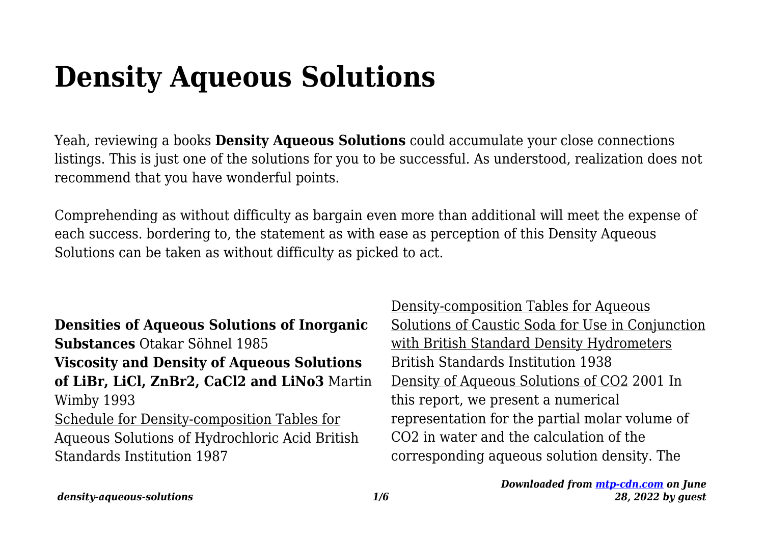# **Density Aqueous Solutions**

Yeah, reviewing a books **Density Aqueous Solutions** could accumulate your close connections listings. This is just one of the solutions for you to be successful. As understood, realization does not recommend that you have wonderful points.

Comprehending as without difficulty as bargain even more than additional will meet the expense of each success. bordering to, the statement as with ease as perception of this Density Aqueous Solutions can be taken as without difficulty as picked to act.

**Densities of Aqueous Solutions of Inorganic Substances** Otakar Söhnel 1985 **Viscosity and Density of Aqueous Solutions of LiBr, LiCl, ZnBr2, CaCl2 and LiNo3** Martin Wimby 1993 Schedule for Density-composition Tables for Aqueous Solutions of Hydrochloric Acid British Standards Institution 1987

Density-composition Tables for Aqueous Solutions of Caustic Soda for Use in Conjunction with British Standard Density Hydrometers British Standards Institution 1938 Density of Aqueous Solutions of CO2 2001 In this report, we present a numerical representation for the partial molar volume of CO2 in water and the calculation of the corresponding aqueous solution density. The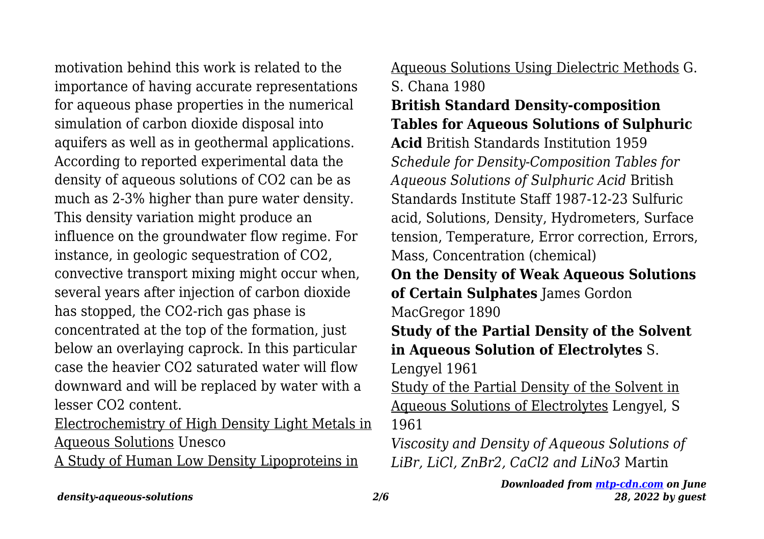motivation behind this work is related to the importance of having accurate representations for aqueous phase properties in the numerical simulation of carbon dioxide disposal into aquifers as well as in geothermal applications. According to reported experimental data the density of aqueous solutions of CO2 can be as much as 2-3% higher than pure water density. This density variation might produce an influence on the groundwater flow regime. For instance, in geologic sequestration of CO2, convective transport mixing might occur when, several years after injection of carbon dioxide has stopped, the CO2-rich gas phase is concentrated at the top of the formation, just below an overlaying caprock. In this particular case the heavier CO2 saturated water will flow downward and will be replaced by water with a lesser CO2 content.

Electrochemistry of High Density Light Metals in Aqueous Solutions Unesco

A Study of Human Low Density Lipoproteins in

# Aqueous Solutions Using Dielectric Methods G. S. Chana 1980 **British Standard Density-composition Tables for Aqueous Solutions of Sulphuric Acid** British Standards Institution 1959 *Schedule for Density-Composition Tables for Aqueous Solutions of Sulphuric Acid* British Standards Institute Staff 1987-12-23 Sulfuric acid, Solutions, Density, Hydrometers, Surface tension, Temperature, Error correction, Errors, Mass, Concentration (chemical) **On the Density of Weak Aqueous Solutions of Certain Sulphates** James Gordon MacGregor 1890 **Study of the Partial Density of the Solvent in Aqueous Solution of Electrolytes** S. Lengyel 1961 Study of the Partial Density of the Solvent in Aqueous Solutions of Electrolytes Lengyel, S 1961 *Viscosity and Density of Aqueous Solutions of*

*LiBr, LiCl, ZnBr2, CaCl2 and LiNo3* Martin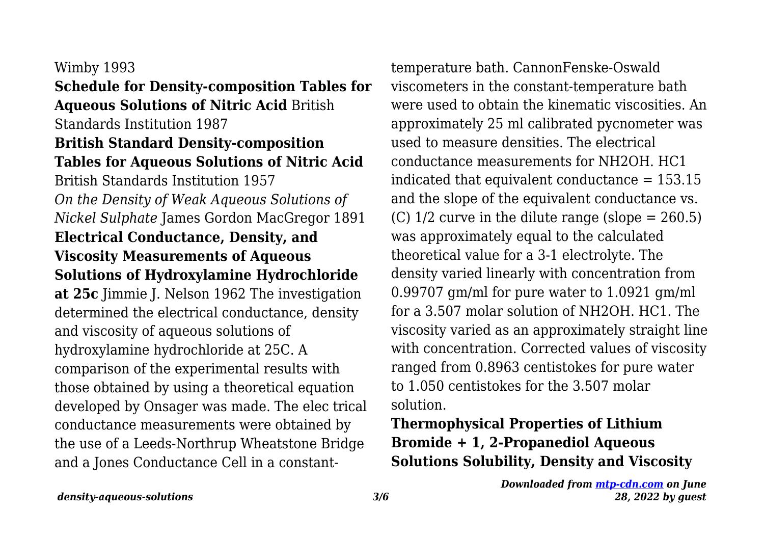#### Wimby 1993

#### **Schedule for Density-composition Tables for Aqueous Solutions of Nitric Acid** British Standards Institution 1987

# **British Standard Density-composition Tables for Aqueous Solutions of Nitric Acid** British Standards Institution 1957 *On the Density of Weak Aqueous Solutions of Nickel Sulphate* James Gordon MacGregor 1891 **Electrical Conductance, Density, and Viscosity Measurements of Aqueous Solutions of Hydroxylamine Hydrochloride at 25c** Jimmie J. Nelson 1962 The investigation determined the electrical conductance, density and viscosity of aqueous solutions of hydroxylamine hydrochloride at 25C. A

comparison of the experimental results with those obtained by using a theoretical equation developed by Onsager was made. The elec trical conductance measurements were obtained by the use of a Leeds-Northrup Wheatstone Bridge and a Jones Conductance Cell in a constant-

temperature bath. CannonFenske-Oswald viscometers in the constant-temperature bath were used to obtain the kinematic viscosities. An approximately 25 ml calibrated pycnometer was used to measure densities. The electrical conductance measurements for NH2OH. HC1 indicated that equivalent conductance = 153.15 and the slope of the equivalent conductance vs. (C)  $1/2$  curve in the dilute range (slope = 260.5) was approximately equal to the calculated theoretical value for a 3-1 electrolyte. The density varied linearly with concentration from 0.99707 gm/ml for pure water to 1.0921 gm/ml for a 3.507 molar solution of NH2OH. HC1. The viscosity varied as an approximately straight line with concentration. Corrected values of viscosity ranged from 0.8963 centistokes for pure water to 1.050 centistokes for the 3.507 molar solution.

## **Thermophysical Properties of Lithium Bromide + 1, 2-Propanediol Aqueous Solutions Solubility, Density and Viscosity**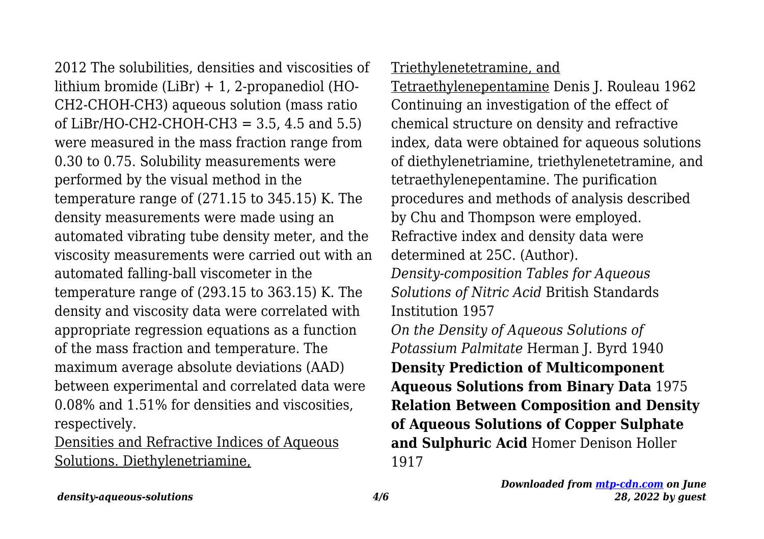2012 The solubilities, densities and viscosities of lithium bromide (LiBr) + 1, 2-propanediol (HO-CH2-CHOH-CH3) aqueous solution (mass ratio of LiBr/HO-CH2-CHOH-CH3 =  $3.5, 4.5$  and  $5.5$ ) were measured in the mass fraction range from 0.30 to 0.75. Solubility measurements were performed by the visual method in the temperature range of (271.15 to 345.15) K. The density measurements were made using an automated vibrating tube density meter, and the viscosity measurements were carried out with an automated falling-ball viscometer in the temperature range of (293.15 to 363.15) K. The density and viscosity data were correlated with appropriate regression equations as a function of the mass fraction and temperature. The maximum average absolute deviations (AAD) between experimental and correlated data were 0.08% and 1.51% for densities and viscosities, respectively.

Densities and Refractive Indices of Aqueous Solutions. Diethylenetriamine,

#### Triethylenetetramine, and

Tetraethylenepentamine Denis J. Rouleau 1962 Continuing an investigation of the effect of chemical structure on density and refractive index, data were obtained for aqueous solutions of diethylenetriamine, triethylenetetramine, and tetraethylenepentamine. The purification procedures and methods of analysis described by Chu and Thompson were employed. Refractive index and density data were determined at 25C. (Author). *Density-composition Tables for Aqueous Solutions of Nitric Acid* British Standards Institution 1957 *On the Density of Aqueous Solutions of Potassium Palmitate* Herman J. Byrd 1940 **Density Prediction of Multicomponent Aqueous Solutions from Binary Data** 1975 **Relation Between Composition and Density of Aqueous Solutions of Copper Sulphate and Sulphuric Acid** Homer Denison Holler 1917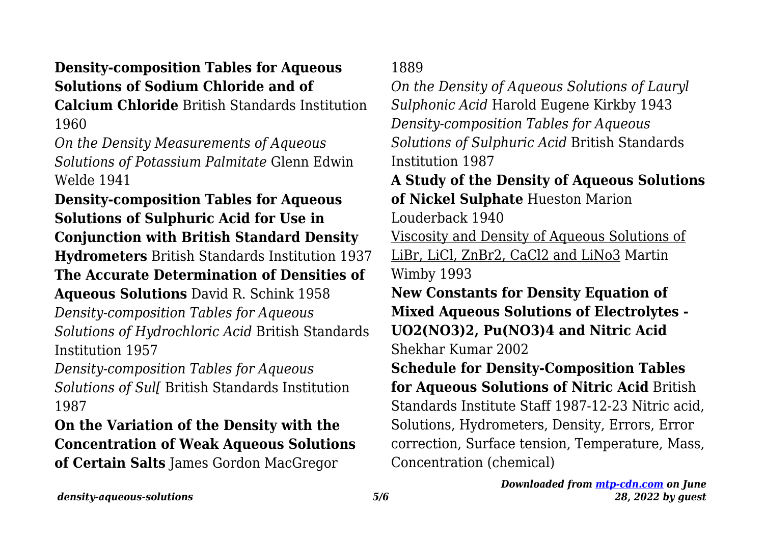# **Density-composition Tables for Aqueous Solutions of Sodium Chloride and of**

**Calcium Chloride** British Standards Institution 1960

*On the Density Measurements of Aqueous Solutions of Potassium Palmitate* Glenn Edwin Welde 1941

**Density-composition Tables for Aqueous Solutions of Sulphuric Acid for Use in Conjunction with British Standard Density Hydrometers** British Standards Institution 1937 **The Accurate Determination of Densities of Aqueous Solutions** David R. Schink 1958 *Density-composition Tables for Aqueous Solutions of Hydrochloric Acid* British Standards Institution 1957

*Density-composition Tables for Aqueous Solutions of Sul[* British Standards Institution 1987

**On the Variation of the Density with the Concentration of Weak Aqueous Solutions of Certain Salts** James Gordon MacGregor

1889

*On the Density of Aqueous Solutions of Lauryl Sulphonic Acid* Harold Eugene Kirkby 1943 *Density-composition Tables for Aqueous Solutions of Sulphuric Acid* British Standards Institution 1987

**A Study of the Density of Aqueous Solutions of Nickel Sulphate** Hueston Marion

Louderback 1940

Viscosity and Density of Aqueous Solutions of LiBr, LiCl, ZnBr2, CaCl2 and LiNo3 Martin Wimby 1993

**New Constants for Density Equation of Mixed Aqueous Solutions of Electrolytes - UO2(NO3)2, Pu(NO3)4 and Nitric Acid** Shekhar Kumar 2002

**Schedule for Density-Composition Tables for Aqueous Solutions of Nitric Acid** British Standards Institute Staff 1987-12-23 Nitric acid, Solutions, Hydrometers, Density, Errors, Error correction, Surface tension, Temperature, Mass, Concentration (chemical)